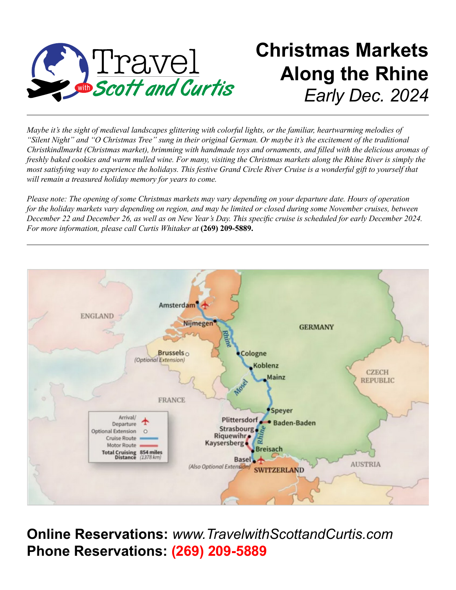

# **Christmas Markets Along the Rhine** *Early Dec. 2024*

*Maybe it's the sight of medieval landscapes glittering with colorful lights, or the familiar, heartwarming melodies of "Silent Night" and "O Christmas Tree" sung in their original German. Or maybe it's the excitement of the traditional Christkindlmarkt (Christmas market), brimming with handmade toys and ornaments, and filled with the delicious aromas of freshly baked cookies and warm mulled wine. For many, visiting the Christmas markets along the Rhine River is simply the most satisfying way to experience the holidays. This festive Grand Circle River Cruise is a wonderful gift to yourself that will remain a treasured holiday memory for years to come.*

*Please note: The opening of some Christmas markets may vary depending on your departure date. Hours of operation for the holiday markets vary depending on region, and may be limited or closed during some November cruises, between December 22 and December 26, as well as on New Year's Day. This specific cruise is scheduled for early December 2024. For more information, please call Curtis Whitaker at* **(269) 209-5889.**



**Online Reservations:** *www.TravelwithScottandCurtis.com* **Phone Reservations: (269) 209-5889**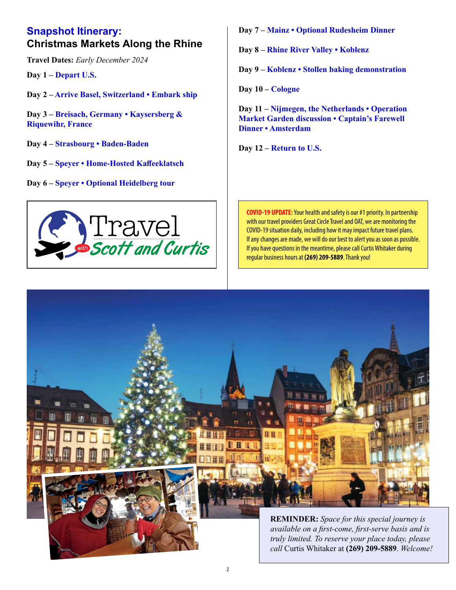#### **Snapshot Itinerary: Christmas Markets Along the Rhine**

**Travel Dates:** *Early December 2024*

**Day 1 – Depart U.S.**

**Day 2 – Arrive Basel, Switzerland • Embark ship**

**Day 3 – Breisach, Germany • Kaysersberg & Riquewihr, France**

- **Day 4 Strasbourg Baden-Baden**
- **Day 5 – Speyer Home-Hosted Kaffeeklatsch**
- **Day 6 Speyer Optional Heidelberg tour**



**Day 7 – Mainz • Optional Rudesheim Dinner**

**Day 8 – Rhine River Valley • Koblenz**

**Day 9 – Koblenz • Stollen baking demonstration**

**Day 10 – Cologne**

**Day 11 – Nijmegen, the Netherlands • Operation Market Garden discussion • Captain's Farewell Dinner • Amsterdam**

**Day 12 – Return to U.S.**

**COVID-19 UPDATE:** Your health and safety is our #1 priority. In partnership with our travel providers Great Circle Travel and OAT, we are monitoring the COVID-19 situation daily, including how it may impact future travel plans. If any changes are made, we will do our best to alert you as soon as possible. If you have questions in the meantime, please call Curtis Whitaker during regular business hours at **(269) 209-5889**. Thank you!